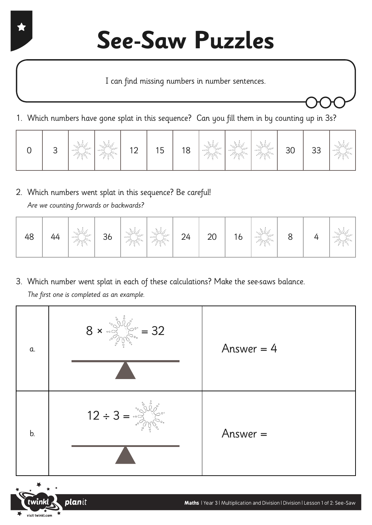I can find missing numbers in number sentences.

1. Which numbers have gone splat in this sequence? Can you fill them in by counting up in 3s?

|  | ◡ | °° NY<br>$\cdot \circ \rightleftharpoons$ | $\sim$<br>2<br>$\sim$ | $1^{\circ}$<br>$\sim$ | 15 | 18 | "gillo"<br>$\cdot \circ \rightleftharpoons$<br>$\mathcal{L}_{\alpha}$ | $\circ$ $\sim$ | $\varphi^{\circ^*}$<br>$\approx$ | 30 | 33 | $\circ$ o $\sim$ |
|--|---|-------------------------------------------|-----------------------|-----------------------|----|----|-----------------------------------------------------------------------|----------------|----------------------------------|----|----|------------------|
|--|---|-------------------------------------------|-----------------------|-----------------------|----|----|-----------------------------------------------------------------------|----------------|----------------------------------|----|----|------------------|

2. Which numbers went splat in this sequence? Be careful! Are we counting forwards or backwards?

planit

visit twinkl.com

| 48 | 44 | Sulton<br>$\sqrt{2\pi}$ | 36 |  | <b>1996.</b> - 1996. | 24 | $20\,$ | 16 | "Sulle"<br>$\mathcal{O}(\mathcal{O}_{\mathcal{O}_{\mathcal{O}}} \mathcal{O}_{\mathcal{O}_{\mathcal{O}}} \mathcal{O}_{\mathcal{O}_{\mathcal{O}}} \mathcal{O}_{\mathcal{O}_{\mathcal{O}}}$ |  |  | $\sim$<br>್ಲಿ ೧ ಸ್ |
|----|----|-------------------------|----|--|----------------------|----|--------|----|------------------------------------------------------------------------------------------------------------------------------------------------------------------------------------------|--|--|--------------------|
|----|----|-------------------------|----|--|----------------------|----|--------|----|------------------------------------------------------------------------------------------------------------------------------------------------------------------------------------------|--|--|--------------------|

3. Which number went splat in each of these calculations? Make the see-saws balance. The first one is completed as an example.

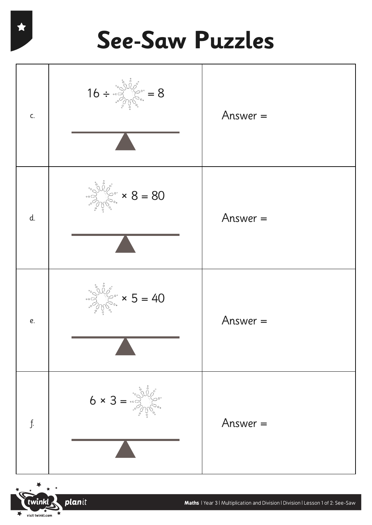



planit  $\overrightarrow{v}$  visit twinkl.com ₹

**Maths** | Year 3 | Multiplication and Division | Division | Lesson 1 of 2: See-Saw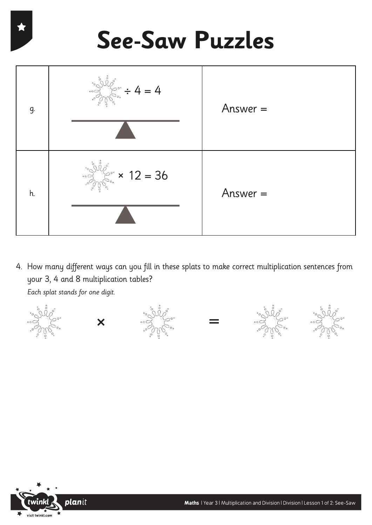

4. How many different ways can you fill in these splats to make correct multiplication sentences from your 3, 4 and 8 multiplication tables? Each splat stands for one digit.



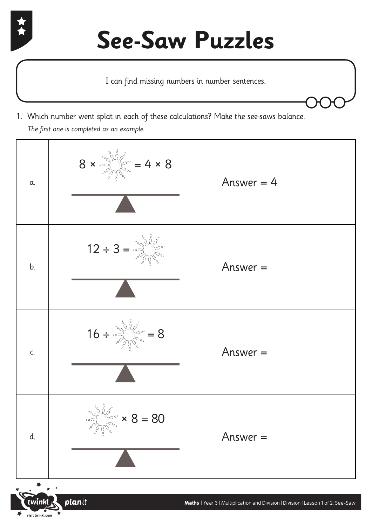

k

visit twinkl.com

I can find missing numbers in number sentences.

1. Which number went splat in each of these calculations? Make the see-saws balance. The first one is completed as an example.

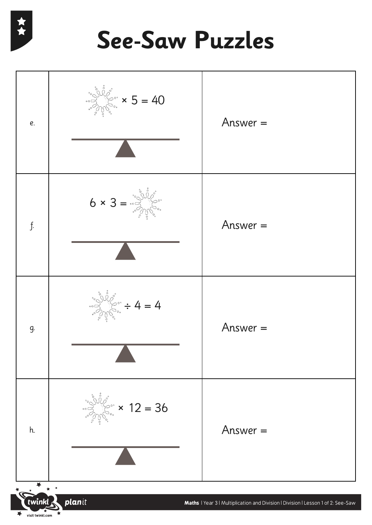

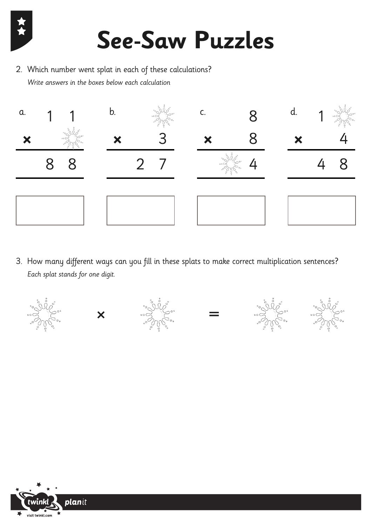

2. Which number went splat in each of these calculations? Write answers in the boxes below each calculation



3. How many different ways can you fill in these splats to make correct multiplication sentences? Each splat stands for one digit.











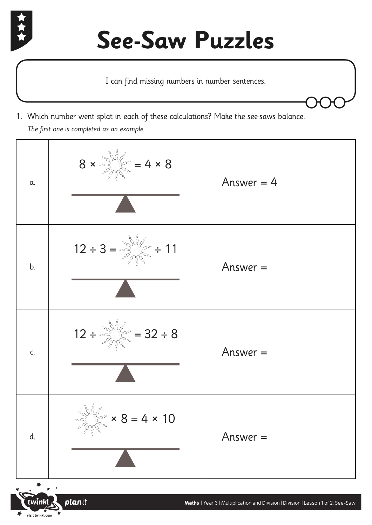

visit twinkl.com

I can find missing numbers in number sentences.

1. Which number went splat in each of these calculations? Make the see-saws balance. The first one is completed as an example.

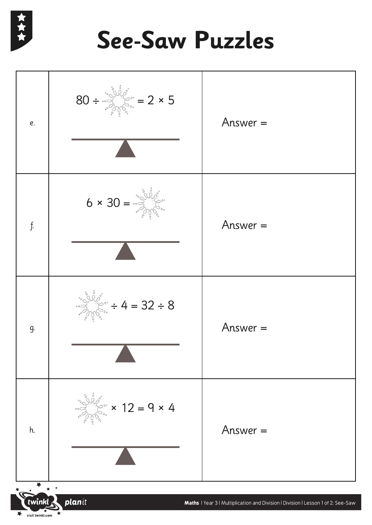![](_page_7_Picture_0.jpeg)

![](_page_7_Figure_2.jpeg)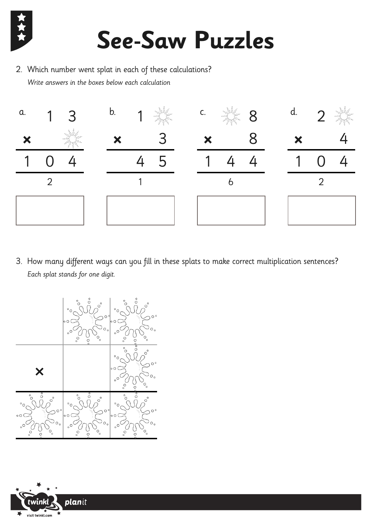![](_page_8_Picture_0.jpeg)

2. Which number went splat in each of these calculations? Write answers in the boxes below each calculation

![](_page_8_Figure_3.jpeg)

3. How many different ways can you fill in these splats to make correct multiplication sentences? Each splat stands for one digit.

![](_page_8_Figure_5.jpeg)

![](_page_8_Picture_6.jpeg)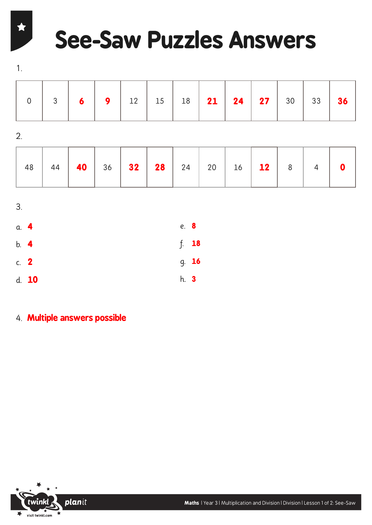# **See-Saw Puzzles Answers**

1.

 $\bigstar$ 

|  |  |  |  |  |  | <b>9</b>   12   15   18   <b>21   24   27  </b> 30   33 |  |  |  |  |  |  |
|--|--|--|--|--|--|---------------------------------------------------------|--|--|--|--|--|--|
|--|--|--|--|--|--|---------------------------------------------------------|--|--|--|--|--|--|

2.

|  | 48 44 <b>40</b> 36 32 28 24 20 16 12 8 4 0 |  |  |  |  |  |  |  |  |  |  |
|--|--------------------------------------------|--|--|--|--|--|--|--|--|--|--|
|--|--------------------------------------------|--|--|--|--|--|--|--|--|--|--|

| 3.     |       |             |       |
|--------|-------|-------------|-------|
| a. 4   |       | e. 8        |       |
| b. 4   |       |             | f. 18 |
| c. $2$ |       |             | g. 16 |
|        | d. 10 | h. <b>3</b> |       |

4. **Multiple answers possible**

![](_page_9_Picture_7.jpeg)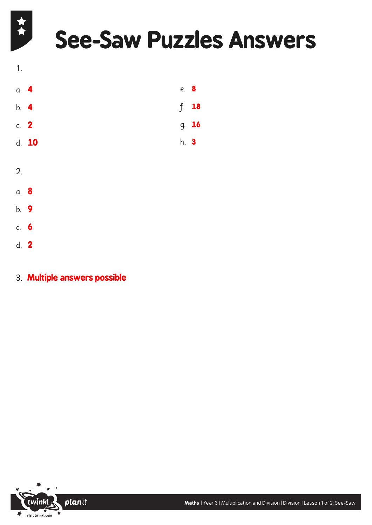# **See-Saw Puzzles Answers**

![](_page_10_Figure_1.jpeg)

- b. **9**
- c. **6**
- d. **2**

文人

3. **Multiple answers possible**

![](_page_10_Picture_6.jpeg)